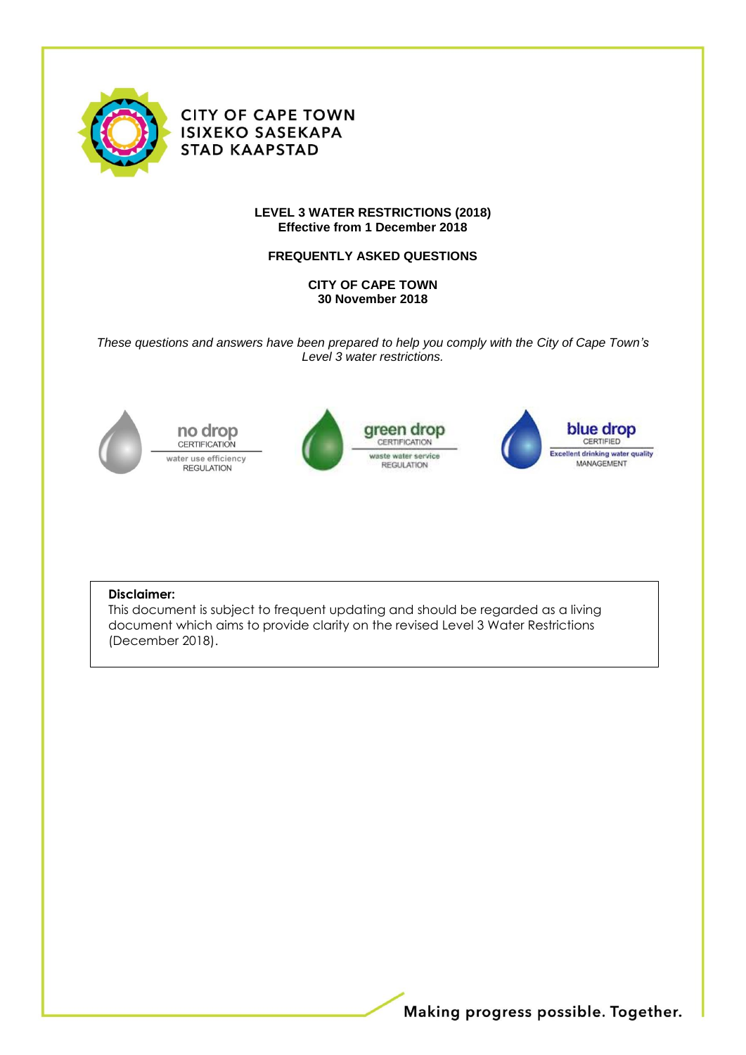

**CITY OF CAPE TOWN ISIXEKO SASEKAPA STAD KAAPSTAD** 

#### **LEVEL 3 WATER RESTRICTIONS (2018) Effective from 1 December 2018**

### **FREQUENTLY ASKED QUESTIONS**

**CITY OF CAPE TOWN 30 November 2018**

*These questions and answers have been prepared to help you comply with the City of Cape Town's Level 3 water restrictions.*



no drop **CERTIFICATION** water use efficiency **REGULATION** 







#### **Disclaimer:**

This document is subject to frequent updating and should be regarded as a living document which aims to provide clarity on the revised Level 3 Water Restrictions (December 2018).

Making progress possible. Together.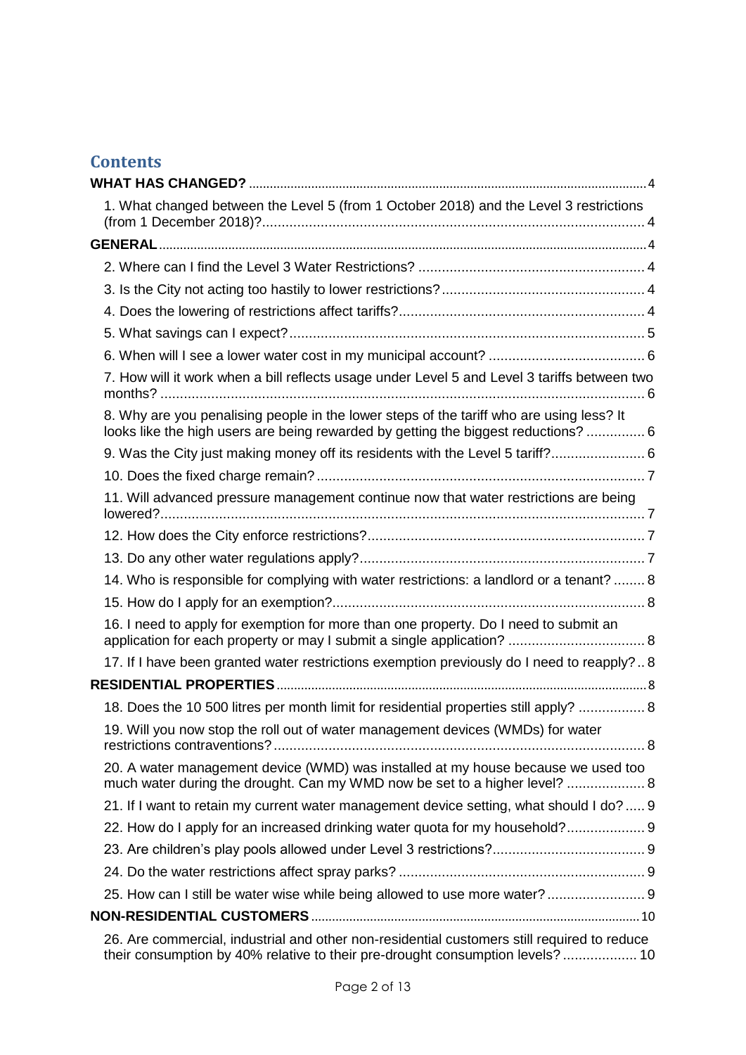# **Contents**

| 1. What changed between the Level 5 (from 1 October 2018) and the Level 3 restrictions                                                                                         |  |
|--------------------------------------------------------------------------------------------------------------------------------------------------------------------------------|--|
|                                                                                                                                                                                |  |
|                                                                                                                                                                                |  |
|                                                                                                                                                                                |  |
|                                                                                                                                                                                |  |
|                                                                                                                                                                                |  |
|                                                                                                                                                                                |  |
| 7. How will it work when a bill reflects usage under Level 5 and Level 3 tariffs between two                                                                                   |  |
| 8. Why are you penalising people in the lower steps of the tariff who are using less? It<br>looks like the high users are being rewarded by getting the biggest reductions?  6 |  |
| 9. Was the City just making money off its residents with the Level 5 tariff? 6                                                                                                 |  |
|                                                                                                                                                                                |  |
| 11. Will advanced pressure management continue now that water restrictions are being                                                                                           |  |
|                                                                                                                                                                                |  |
|                                                                                                                                                                                |  |
| 14. Who is responsible for complying with water restrictions: a landlord or a tenant?  8                                                                                       |  |
|                                                                                                                                                                                |  |
| 16. I need to apply for exemption for more than one property. Do I need to submit an                                                                                           |  |
| 17. If I have been granted water restrictions exemption previously do I need to reapply?8                                                                                      |  |
|                                                                                                                                                                                |  |
| 18. Does the 10 500 litres per month limit for residential properties still apply?  8                                                                                          |  |
| 19. Will you now stop the roll out of water management devices (WMDs) for water                                                                                                |  |
| 20. A water management device (WMD) was installed at my house because we used too<br>much water during the drought. Can my WMD now be set to a higher level?  8                |  |
| 21. If I want to retain my current water management device setting, what should I do? 9                                                                                        |  |
| 22. How do I apply for an increased drinking water quota for my household? 9                                                                                                   |  |
|                                                                                                                                                                                |  |
|                                                                                                                                                                                |  |
| 25. How can I still be water wise while being allowed to use more water?  9                                                                                                    |  |
|                                                                                                                                                                                |  |
| 26. Are commercial, industrial and other non-residential customers still required to reduce<br>their consumption by 40% relative to their pre-drought consumption levels?  10  |  |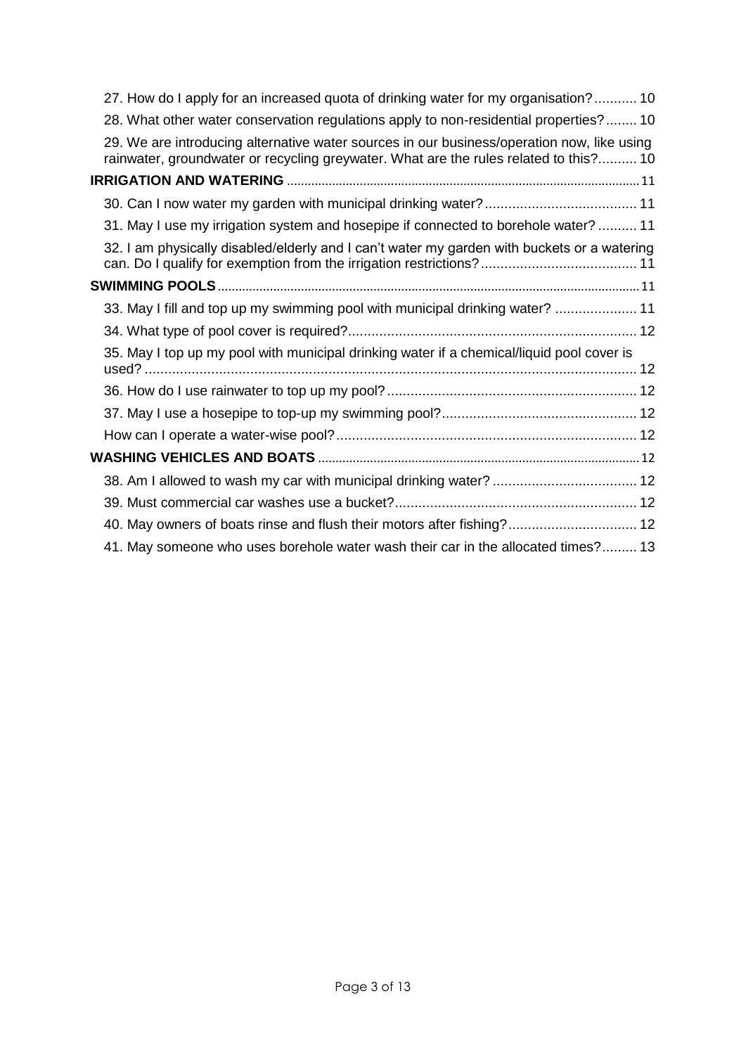| 27. How do I apply for an increased quota of drinking water for my organisation? 10                                                                                                 |  |
|-------------------------------------------------------------------------------------------------------------------------------------------------------------------------------------|--|
| 28. What other water conservation regulations apply to non-residential properties? 10                                                                                               |  |
| 29. We are introducing alternative water sources in our business/operation now, like using<br>rainwater, groundwater or recycling greywater. What are the rules related to this? 10 |  |
|                                                                                                                                                                                     |  |
|                                                                                                                                                                                     |  |
| 31. May I use my irrigation system and hosepipe if connected to borehole water?  11                                                                                                 |  |
| 32. I am physically disabled/elderly and I can't water my garden with buckets or a watering                                                                                         |  |
|                                                                                                                                                                                     |  |
| 33. May I fill and top up my swimming pool with municipal drinking water?  11                                                                                                       |  |
|                                                                                                                                                                                     |  |
| 35. May I top up my pool with municipal drinking water if a chemical/liquid pool cover is                                                                                           |  |
|                                                                                                                                                                                     |  |
|                                                                                                                                                                                     |  |
|                                                                                                                                                                                     |  |
|                                                                                                                                                                                     |  |
| 38. Am I allowed to wash my car with municipal drinking water?  12                                                                                                                  |  |
|                                                                                                                                                                                     |  |
| 40. May owners of boats rinse and flush their motors after fishing? 12                                                                                                              |  |
| 41. May someone who uses borehole water wash their car in the allocated times? 13                                                                                                   |  |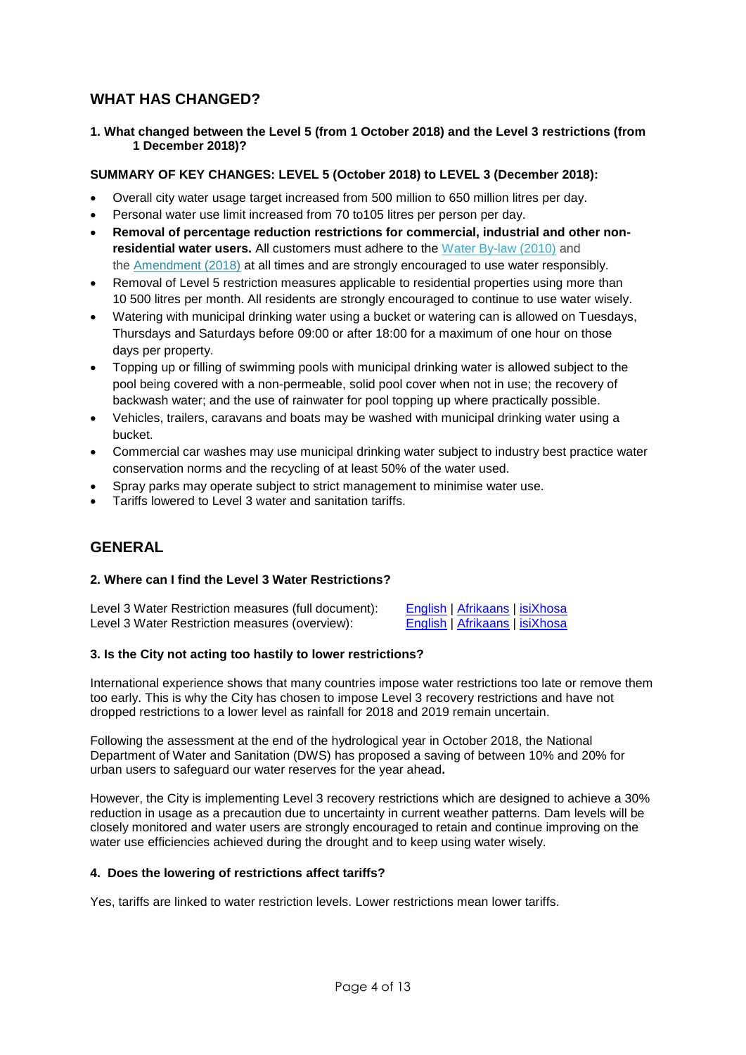## <span id="page-3-0"></span>**WHAT HAS CHANGED?**

<span id="page-3-1"></span>**1. What changed between the Level 5 (from 1 October 2018) and the Level 3 restrictions (from 1 December 2018)?** 

### **SUMMARY OF KEY CHANGES: LEVEL 5 (October 2018) to LEVEL 3 (December 2018):**

- Overall city water usage target increased from 500 million to 650 million litres per day.
- Personal water use limit increased from 70 to105 litres per person per day.
- **Removal of percentage reduction restrictions for commercial, industrial and other nonresidential water users.** All customers must adhere to the [Water By-law \(2010\)](http://resource.capetown.gov.za/documentcentre/Documents/Bylaws%20and%20policies/Water%20By-law%202010.pdf) and the [Amendment \(2018\)](http://resource.capetown.gov.za/documentcentre/Documents/Bylaws%20and%20policies/Water%20Amendment%20By-law%202018.pdf) at all times and are strongly encouraged to use water responsibly.
- Removal of Level 5 restriction measures applicable to residential properties using more than 10 500 litres per month. All residents are strongly encouraged to continue to use water wisely.
- Watering with municipal drinking water using a bucket or watering can is allowed on Tuesdays, Thursdays and Saturdays before 09:00 or after 18:00 for a maximum of one hour on those days per property.
- Topping up or filling of swimming pools with municipal drinking water is allowed subject to the pool being covered with a non-permeable, solid pool cover when not in use; the recovery of backwash water; and the use of rainwater for pool topping up where practically possible.
- Vehicles, trailers, caravans and boats may be washed with municipal drinking water using a bucket.
- Commercial car washes may use municipal drinking water subject to industry best practice water conservation norms and the recycling of at least 50% of the water used.
- Spray parks may operate subject to strict management to minimise water use.
- <span id="page-3-2"></span>Tariffs lowered to Level 3 water and sanitation tariffs.

## **GENERAL**

#### <span id="page-3-3"></span>**2. Where can I find the Level 3 Water Restrictions?**

Level 3 Water Restriction measures (full document): <br>Level 3 Water Restriction measures (overview): [English](http://resource.capetown.gov.za/documentcentre/Documents/Forms,%20notices,%20tariffs%20and%20lists/L3-WaterRestrictionOverviewNotice-Xho.pdf) | [Afrikaans](http://resource.capetown.gov.za/documentcentre/Documents/Procedures,%20guidelines%20and%20regulations/L3-WaterRestrictionGuidelines-Afri.pdf) | [isiXhosa](http://resource.capetown.gov.za/documentcentre/Documents/Procedures,%20guidelines%20and%20regulations/L3-WaterRestrictionGuidelines-Xho.pdf) Level 3 Water Restriction measures (overview):

#### <span id="page-3-4"></span>**3. Is the City not acting too hastily to lower restrictions?**

International experience shows that many countries impose water restrictions too late or remove them too early. This is why the City has chosen to impose Level 3 recovery restrictions and have not dropped restrictions to a lower level as rainfall for 2018 and 2019 remain uncertain.

Following the assessment at the end of the hydrological year in October 2018, the National Department of Water and Sanitation (DWS) has proposed a saving of between 10% and 20% for urban users to safeguard our water reserves for the year ahead**.** 

However, the City is implementing Level 3 recovery restrictions which are designed to achieve a 30% reduction in usage as a precaution due to uncertainty in current weather patterns. Dam levels will be closely monitored and water users are strongly encouraged to retain and continue improving on the water use efficiencies achieved during the drought and to keep using water wisely.

### <span id="page-3-5"></span>**4. Does the lowering of restrictions affect tariffs?**

Yes, tariffs are linked to water restriction levels. Lower restrictions mean lower tariffs.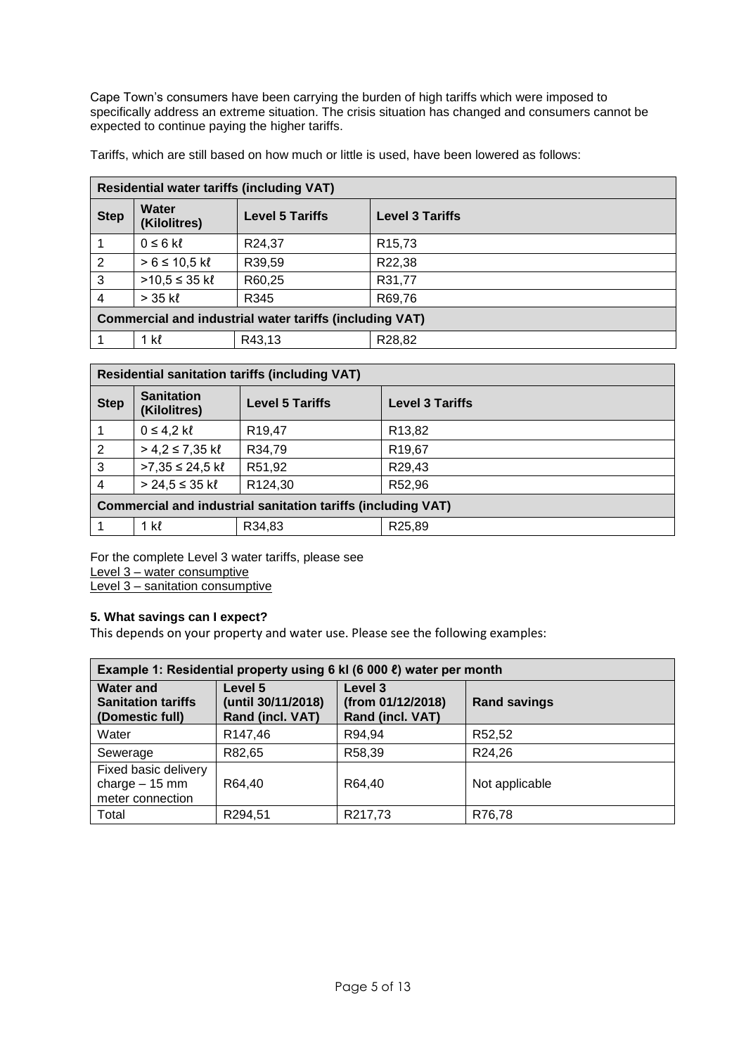Cape Town's consumers have been carrying the burden of high tariffs which were imposed to specifically address an extreme situation. The crisis situation has changed and consumers cannot be expected to continue paying the higher tariffs.

Tariffs, which are still based on how much or little is used, have been lowered as follows:

| <b>Residential water tariffs (including VAT)</b>               |                              |                        |                        |
|----------------------------------------------------------------|------------------------------|------------------------|------------------------|
| <b>Step</b>                                                    | <b>Water</b><br>(Kilolitres) | <b>Level 5 Tariffs</b> | <b>Level 3 Tariffs</b> |
| 1                                                              | $0 \leq 6$ kl                | R24,37                 | R <sub>15,73</sub>     |
| $\overline{2}$                                                 | > 6 ≤ 10,5 k                 | R39,59                 | R22,38                 |
| $\overline{3}$                                                 | $>10,5 ≤ 35$ kl              | R60,25                 | R31,77                 |
| $\overline{4}$                                                 | $>$ 35 kl                    | R345                   | R69,76                 |
| <b>Commercial and industrial water tariffs (including VAT)</b> |                              |                        |                        |
|                                                                | 1 kl                         | R43,13                 | R28,82                 |

| <b>Residential sanitation tariffs (including VAT)</b>               |                                   |                        |                        |
|---------------------------------------------------------------------|-----------------------------------|------------------------|------------------------|
| <b>Step</b>                                                         | <b>Sanitation</b><br>(Kilolitres) | <b>Level 5 Tariffs</b> | <b>Level 3 Tariffs</b> |
|                                                                     | $0 \le 4.2$ kl                    | R <sub>19</sub> ,47    | R13,82                 |
| 2                                                                   | $> 4.2 \le 7.35$ kl               | R34,79                 | R <sub>19,67</sub>     |
| 3                                                                   | $>7,35$ ≤ 24,5 kl                 | R51,92                 | R29,43                 |
| 4                                                                   | $>$ 24,5 ≤ 35 kl                  | R124,30                | R52,96                 |
| <b>Commercial and industrial sanitation tariffs (including VAT)</b> |                                   |                        |                        |
|                                                                     | 1 kl                              | R34,83                 | R25,89                 |

For the complete Level 3 water tariffs, please see Level 3 – [water consumptive](http://resource.capetown.gov.za/documentcentre/Documents/Financial%20documents/Budget%202018-2019%20Annexure%206%20Water%20and%20Sanitation%20-%20Water%20Level%203%20Reduction.pdf)

Level 3 – [sanitation consumptive](http://resource.capetown.gov.za/documentcentre/Documents/Financial%20documents/Budget%202018-2019%20Annexure%206%20Water%20and%20Sanitation%20%20-%20Sanitation%20Level%203%20Reduction.pdf)

### <span id="page-4-0"></span>**5. What savings can I expect?**

This depends on your property and water use. Please see the following examples:

| Example 1: Residential property using 6 kl (6 000 $\ell$ ) water per month |                                                   |                                                  |                     |
|----------------------------------------------------------------------------|---------------------------------------------------|--------------------------------------------------|---------------------|
| <b>Water and</b><br><b>Sanitation tariffs</b><br>(Domestic full)           | Level 5<br>(until 30/11/2018)<br>Rand (incl. VAT) | Level 3<br>(from 01/12/2018)<br>Rand (incl. VAT) | <b>Rand savings</b> |
| Water                                                                      | R147,46                                           | R94,94                                           | R52,52              |
| Sewerage                                                                   | R82,65                                            | R58,39                                           | R24,26              |
| Fixed basic delivery<br>charge $-15$ mm<br>meter connection                | R64,40                                            | R64,40                                           | Not applicable      |
| Total                                                                      | R294,51                                           | R217,73                                          | R76,78              |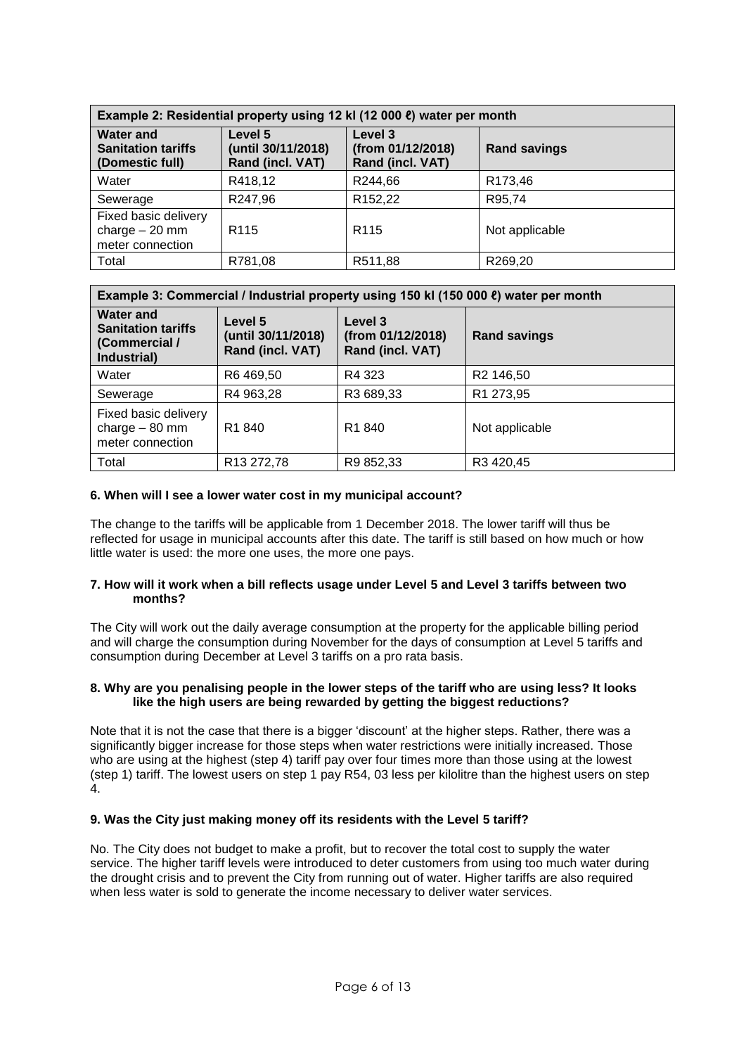| Example 2: Residential property using 12 kl (12 000 ℓ) water per month |                                                   |                                                  |                     |
|------------------------------------------------------------------------|---------------------------------------------------|--------------------------------------------------|---------------------|
| <b>Water and</b><br><b>Sanitation tariffs</b><br>(Domestic full)       | Level 5<br>(until 30/11/2018)<br>Rand (incl. VAT) | Level 3<br>(from 01/12/2018)<br>Rand (incl. VAT) | <b>Rand savings</b> |
| Water                                                                  | R418,12                                           | R244,66                                          | R <sub>173,46</sub> |
| Sewerage                                                               | R247,96                                           | R <sub>152,22</sub>                              | R95,74              |
| Fixed basic delivery<br>charge $-20$ mm<br>meter connection            | R <sub>115</sub>                                  | R <sub>115</sub>                                 | Not applicable      |
| Total                                                                  | R781,08                                           | R511,88                                          | R269,20             |

| Example 3: Commercial / Industrial property using 150 kl (150 000 ℓ) water per month |                                                   |                                                  |                       |
|--------------------------------------------------------------------------------------|---------------------------------------------------|--------------------------------------------------|-----------------------|
| <b>Water and</b><br><b>Sanitation tariffs</b><br>(Commercial /<br>Industrial)        | Level 5<br>(until 30/11/2018)<br>Rand (incl. VAT) | Level 3<br>(from 01/12/2018)<br>Rand (incl. VAT) | <b>Rand savings</b>   |
| Water                                                                                | R6469,50                                          | R4 323                                           | R <sub>2</sub> 146,50 |
| Sewerage                                                                             | R4 963,28                                         | R3 689,33                                        | R1 273,95             |
| Fixed basic delivery<br>charge $-80$ mm<br>meter connection                          | R <sub>1</sub> 840                                | R <sub>1</sub> 840                               | Not applicable        |
| Total                                                                                | R13 272,78                                        | R9 852,33                                        | R3 420,45             |

#### <span id="page-5-0"></span>**6. When will I see a lower water cost in my municipal account?**

The change to the tariffs will be applicable from 1 December 2018. The lower tariff will thus be reflected for usage in municipal accounts after this date. The tariff is still based on how much or how little water is used: the more one uses, the more one pays.

#### <span id="page-5-1"></span>**7. How will it work when a bill reflects usage under Level 5 and Level 3 tariffs between two months?**

The City will work out the daily average consumption at the property for the applicable billing period and will charge the consumption during November for the days of consumption at Level 5 tariffs and consumption during December at Level 3 tariffs on a pro rata basis.

#### <span id="page-5-2"></span>**8. Why are you penalising people in the lower steps of the tariff who are using less? It looks like the high users are being rewarded by getting the biggest reductions?**

Note that it is not the case that there is a bigger 'discount' at the higher steps. Rather, there was a significantly bigger increase for those steps when water restrictions were initially increased. Those who are using at the highest (step 4) tariff pay over four times more than those using at the lowest (step 1) tariff. The lowest users on step 1 pay R54, 03 less per kilolitre than the highest users on step  $\ddot{4}$ .

#### <span id="page-5-3"></span>**9. Was the City just making money off its residents with the Level 5 tariff?**

No. The City does not budget to make a profit, but to recover the total cost to supply the water service. The higher tariff levels were introduced to deter customers from using too much water during the drought crisis and to prevent the City from running out of water. Higher tariffs are also required when less water is sold to generate the income necessary to deliver water services.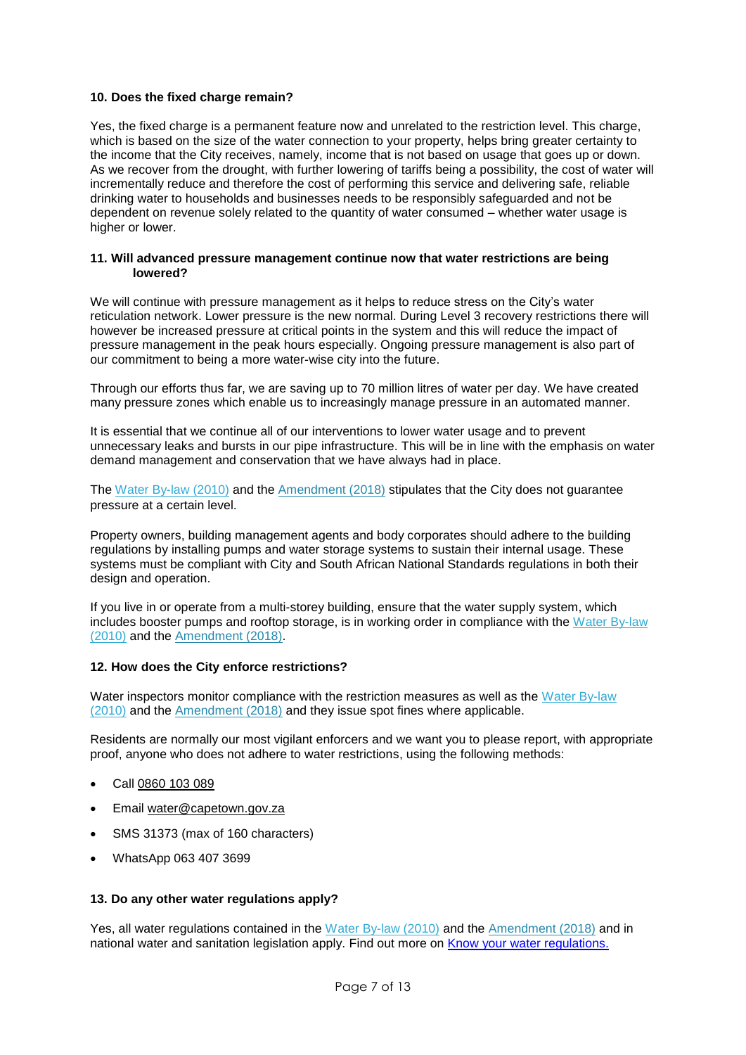#### <span id="page-6-0"></span>**10. Does the fixed charge remain?**

Yes, the fixed charge is a permanent feature now and unrelated to the restriction level. This charge, which is based on the size of the water connection to your property, helps bring greater certainty to the income that the City receives, namely, income that is not based on usage that goes up or down. As we recover from the drought, with further lowering of tariffs being a possibility, the cost of water will incrementally reduce and therefore the cost of performing this service and delivering safe, reliable drinking water to households and businesses needs to be responsibly safeguarded and not be dependent on revenue solely related to the quantity of water consumed – whether water usage is higher or lower.

#### <span id="page-6-1"></span>**11. Will advanced pressure management continue now that water restrictions are being lowered?**

We will continue with pressure management as it helps to reduce stress on the City's water reticulation network. Lower pressure is the new normal. During Level 3 recovery restrictions there will however be increased pressure at critical points in the system and this will reduce the impact of pressure management in the peak hours especially. Ongoing pressure management is also part of our commitment to being a more water-wise city into the future.

Through our efforts thus far, we are saving up to 70 million litres of water per day. We have created many pressure zones which enable us to increasingly manage pressure in an automated manner.

It is essential that we continue all of our interventions to lower water usage and to prevent unnecessary leaks and bursts in our pipe infrastructure. This will be in line with the emphasis on water demand management and conservation that we have always had in place.

The [Water By-law \(2010\)](http://resource.capetown.gov.za/documentcentre/Documents/Bylaws%20and%20policies/Water%20By-law%202010.pdf) and the [Amendment \(2018\)](http://resource.capetown.gov.za/documentcentre/Documents/Bylaws%20and%20policies/Water%20Amendment%20By-law%202018.pdf) stipulates that the City does not guarantee pressure at a certain level.

Property owners, building management agents and body corporates should adhere to the building regulations by installing pumps and water storage systems to sustain their internal usage. These systems must be compliant with City and South African National Standards regulations in both their design and operation.

If you live in or operate from a multi-storey building, ensure that the water supply system, which includes booster pumps and rooftop storage, is in working order in compliance with the [Water By-law](http://resource.capetown.gov.za/documentcentre/Documents/Bylaws%20and%20policies/Water%20By-law%202010.pdf)  [\(2010\)](http://resource.capetown.gov.za/documentcentre/Documents/Bylaws%20and%20policies/Water%20By-law%202010.pdf) and the [Amendment \(2018\).](http://resource.capetown.gov.za/documentcentre/Documents/Bylaws%20and%20policies/Water%20Amendment%20By-law%202018.pdf)

#### <span id="page-6-2"></span>**12. How does the City enforce restrictions?**

Water inspectors monitor compliance with the restriction measures as well as the Water By-law [\(2010\)](http://resource.capetown.gov.za/documentcentre/Documents/Bylaws%20and%20policies/Water%20By-law%202010.pdf) and the [Amendment \(2018\)](http://resource.capetown.gov.za/documentcentre/Documents/Bylaws%20and%20policies/Water%20Amendment%20By-law%202018.pdf) and they issue spot fines where applicable.

Residents are normally our most vigilant enforcers and we want you to please report, with appropriate proof, anyone who does not adhere to water restrictions, using the following methods:

- Call [0860 103 089](tel:0860103089)
- Email [water@capetown.gov.za](mailto:water@capetown.gov.za)
- SMS 31373 (max of 160 characters)
- WhatsApp 063 407 3699

#### <span id="page-6-3"></span>**13. Do any other water regulations apply?**

Yes, all water regulations contained in the [Water By-law \(2010\)](http://resource.capetown.gov.za/documentcentre/Documents/Bylaws%20and%20policies/Water%20By-law%202010.pdf) and the [Amendment \(2018\)](http://resource.capetown.gov.za/documentcentre/Documents/Bylaws%20and%20policies/Water%20Amendment%20By-law%202018.pdf) and in national water and sanitation legislation apply. Find out more on [Know your water regulations.](http://www.capetown.gov.za/Family%20and%20home/residential-utility-services/residential-water-and-sanitation-services/know-your-water-regulations)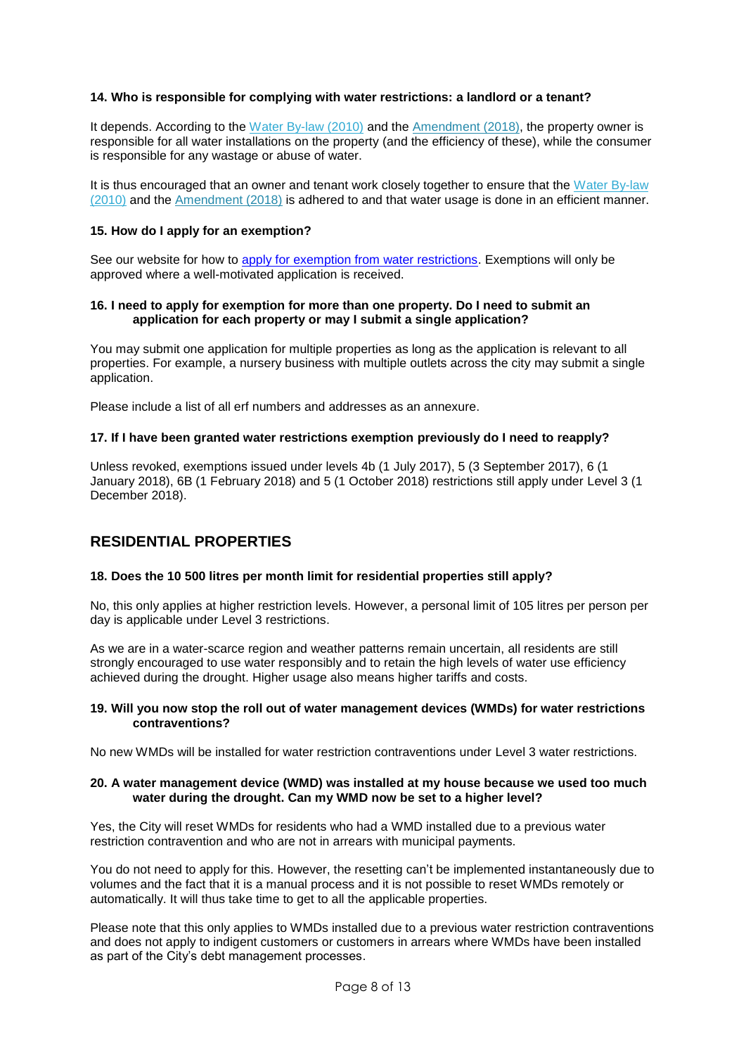#### <span id="page-7-0"></span>**14. Who is responsible for complying with water restrictions: a landlord or a tenant?**

It depends. According to the [Water By-law \(2010\)](http://resource.capetown.gov.za/documentcentre/Documents/Bylaws%20and%20policies/Water%20By-law%202010.pdf) and the [Amendment \(2018\),](http://resource.capetown.gov.za/documentcentre/Documents/Bylaws%20and%20policies/Water%20Amendment%20By-law%202018.pdf) the property owner is responsible for all water installations on the property (and the efficiency of these), while the consumer is responsible for any wastage or abuse of water.

It is thus encouraged that an owner and tenant work closely together to ensure that the Water By-law [\(2010\)](http://resource.capetown.gov.za/documentcentre/Documents/Bylaws%20and%20policies/Water%20By-law%202010.pdf) and the [Amendment \(2018\)](http://resource.capetown.gov.za/documentcentre/Documents/Bylaws%20and%20policies/Water%20Amendment%20By-law%202018.pdf) is adhered to and that water usage is done in an efficient manner.

#### <span id="page-7-1"></span>**15. How do I apply for an exemption?**

See our website for how to [apply for exemption from water restrictions.](http://www.capetown.gov.za/City-Connect/Apply/Municipal-services/Water-and-sanitation/Apply-for-exemption-from-water-restrictions) Exemptions will only be approved where a well-motivated application is received.

#### <span id="page-7-2"></span>**16. I need to apply for exemption for more than one property. Do I need to submit an application for each property or may I submit a single application?**

You may submit one application for multiple properties as long as the application is relevant to all properties. For example, a nursery business with multiple outlets across the city may submit a single application.

Please include a list of all erf numbers and addresses as an annexure.

#### <span id="page-7-3"></span>**17. If I have been granted water restrictions exemption previously do I need to reapply?**

Unless revoked, exemptions issued under levels 4b (1 July 2017), 5 (3 September 2017), 6 (1 January 2018), 6B (1 February 2018) and 5 (1 October 2018) restrictions still apply under Level 3 (1 December 2018).

## <span id="page-7-4"></span>**RESIDENTIAL PROPERTIES**

#### <span id="page-7-5"></span>**18. Does the 10 500 litres per month limit for residential properties still apply?**

No, this only applies at higher restriction levels. However, a personal limit of 105 litres per person per day is applicable under Level 3 restrictions.

As we are in a water-scarce region and weather patterns remain uncertain, all residents are still strongly encouraged to use water responsibly and to retain the high levels of water use efficiency achieved during the drought. Higher usage also means higher tariffs and costs.

#### <span id="page-7-6"></span>**19. Will you now stop the roll out of water management devices (WMDs) for water restrictions contraventions?**

No new WMDs will be installed for water restriction contraventions under Level 3 water restrictions.

#### <span id="page-7-7"></span>**20. A water management device (WMD) was installed at my house because we used too much water during the drought. Can my WMD now be set to a higher level?**

Yes, the City will reset WMDs for residents who had a WMD installed due to a previous water restriction contravention and who are not in arrears with municipal payments.

You do not need to apply for this. However, the resetting can't be implemented instantaneously due to volumes and the fact that it is a manual process and it is not possible to reset WMDs remotely or automatically. It will thus take time to get to all the applicable properties.

Please note that this only applies to WMDs installed due to a previous water restriction contraventions and does not apply to indigent customers or customers in arrears where WMDs have been installed as part of the City's debt management processes.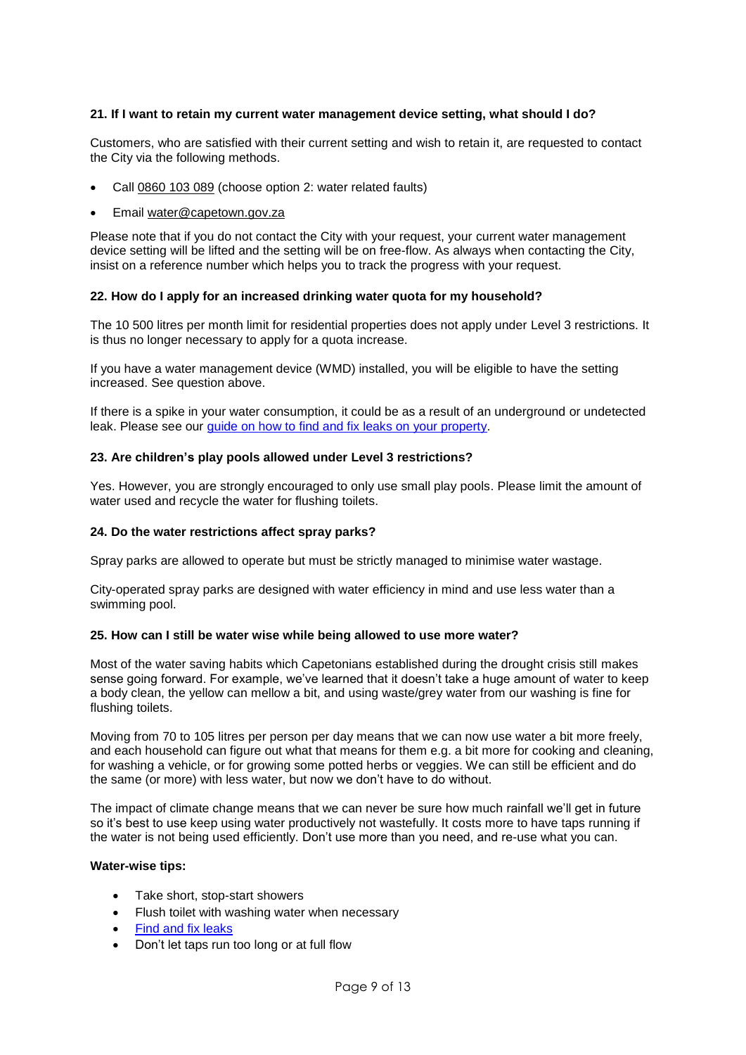#### <span id="page-8-0"></span>**21. If I want to retain my current water management device setting, what should I do?**

Customers, who are satisfied with their current setting and wish to retain it, are requested to contact the City via the following methods.

- Call [0860 103 089](tel:0860103089) (choose option 2: water related faults)
- Email [water@capetown.gov.za](mailto:water@capetown.gov.za)

Please note that if you do not contact the City with your request, your current water management device setting will be lifted and the setting will be on free-flow. As always when contacting the City, insist on a reference number which helps you to track the progress with your request.

#### <span id="page-8-1"></span>**22. How do I apply for an increased drinking water quota for my household?**

The 10 500 litres per month limit for residential properties does not apply under Level 3 restrictions. It is thus no longer necessary to apply for a quota increase.

If you have a water management device (WMD) installed, you will be eligible to have the setting increased. See question above.

If there is a spike in your water consumption, it could be as a result of an underground or undetected leak. Please see our [guide on how to find and fix leaks on your property.](http://resource.capetown.gov.za/documentcentre/Documents/Procedures,%20guidelines%20and%20regulations/Water_Finding_Fixing_Water_Leaks.pdf)

#### <span id="page-8-2"></span>**23. Are children's play pools allowed under Level 3 restrictions?**

Yes. However, you are strongly encouraged to only use small play pools. Please limit the amount of water used and recycle the water for flushing toilets.

#### <span id="page-8-3"></span>**24. Do the water restrictions affect spray parks?**

Spray parks are allowed to operate but must be strictly managed to minimise water wastage.

City-operated spray parks are designed with water efficiency in mind and use less water than a swimming pool.

#### <span id="page-8-4"></span>**25. How can I still be water wise while being allowed to use more water?**

Most of the water saving habits which Capetonians established during the drought crisis still makes sense going forward. For example, we've learned that it doesn't take a huge amount of water to keep a body clean, the yellow can mellow a bit, and using waste/grey water from our washing is fine for flushing toilets.

Moving from 70 to 105 litres per person per day means that we can now use water a bit more freely, and each household can figure out what that means for them e.g. a bit more for cooking and cleaning, for washing a vehicle, or for growing some potted herbs or veggies. We can still be efficient and do the same (or more) with less water, but now we don't have to do without.

The impact of climate change means that we can never be sure how much rainfall we'll get in future so it's best to use keep using water productively not wastefully. It costs more to have taps running if the water is not being used efficiently. Don't use more than you need, and re-use what you can.

#### **Water-wise tips:**

- Take short, stop-start showers
- Flush toilet with washing water when necessary
- [Find and fix leaks](http://resource.capetown.gov.za/documentcentre/Documents/Procedures,%20guidelines%20and%20regulations/Water_Finding_Fixing_Water_Leaks.pdf)
- Don't let taps run too long or at full flow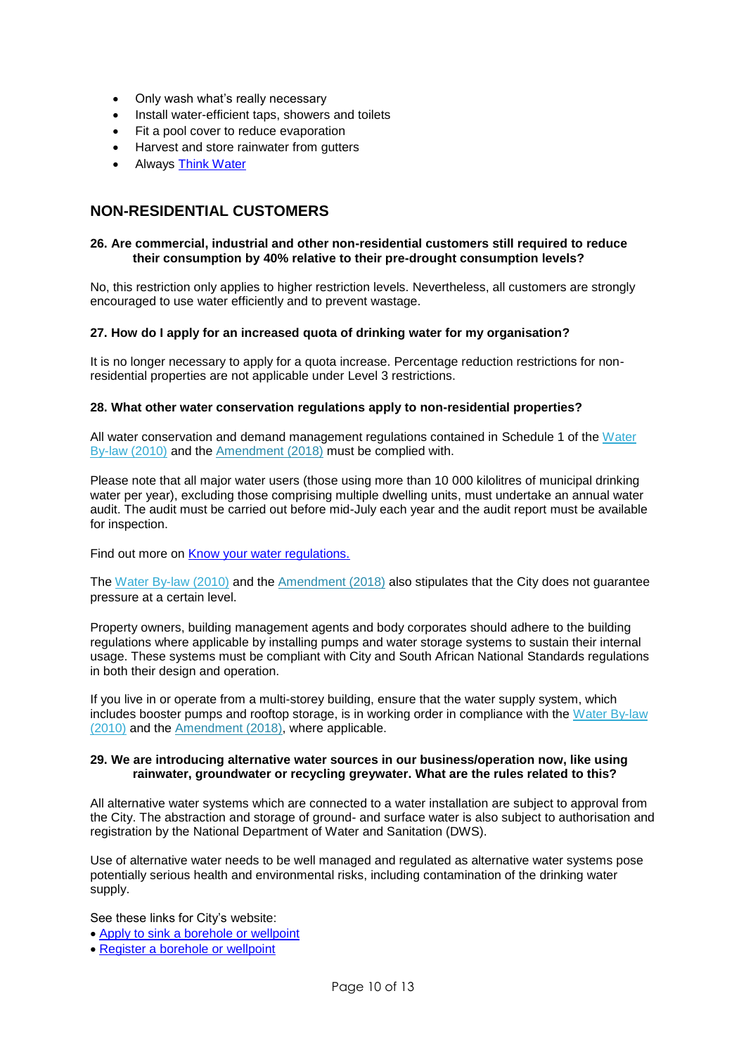- Only wash what's really necessary
- Install water-efficient taps, showers and toilets
- Fit a pool cover to reduce evaporation
- Harvest and store rainwater from gutters
- Always [Think Water](http://www.capetown/gov.za/thinkwater)

## <span id="page-9-0"></span>**NON-RESIDENTIAL CUSTOMERS**

#### <span id="page-9-1"></span>**26. Are commercial, industrial and other non-residential customers still required to reduce their consumption by 40% relative to their pre-drought consumption levels?**

No, this restriction only applies to higher restriction levels. Nevertheless, all customers are strongly encouraged to use water efficiently and to prevent wastage.

#### <span id="page-9-2"></span>**27. How do I apply for an increased quota of drinking water for my organisation?**

It is no longer necessary to apply for a quota increase. Percentage reduction restrictions for nonresidential properties are not applicable under Level 3 restrictions.

#### <span id="page-9-3"></span>**28. What other water conservation regulations apply to non-residential properties?**

All water conservation and demand management regulations contained in Schedule 1 of the [Water](http://resource.capetown.gov.za/documentcentre/Documents/Bylaws%20and%20policies/Water%20By-law%202010.pdf)  [By-law \(2010\)](http://resource.capetown.gov.za/documentcentre/Documents/Bylaws%20and%20policies/Water%20By-law%202010.pdf) and the [Amendment \(2018\)](http://resource.capetown.gov.za/documentcentre/Documents/Bylaws%20and%20policies/Water%20Amendment%20By-law%202018.pdf) must be complied with.

Please note that all major water users (those using more than 10 000 kilolitres of municipal drinking water per year), excluding those comprising multiple dwelling units, must undertake an annual water audit. The audit must be carried out before mid-July each year and the audit report must be available for inspection.

Find out more on **Know your water regulations.** 

The [Water By-law \(2010\)](http://resource.capetown.gov.za/documentcentre/Documents/Bylaws%20and%20policies/Water%20By-law%202010.pdf) and the [Amendment \(2018\)](http://resource.capetown.gov.za/documentcentre/Documents/Bylaws%20and%20policies/Water%20Amendment%20By-law%202018.pdf) also stipulates that the City does not guarantee pressure at a certain level.

Property owners, building management agents and body corporates should adhere to the building regulations where applicable by installing pumps and water storage systems to sustain their internal usage. These systems must be compliant with City and South African National Standards regulations in both their design and operation.

If you live in or operate from a multi-storey building, ensure that the water supply system, which includes booster pumps and rooftop storage, is in working order in compliance with the [Water By-law](http://resource.capetown.gov.za/documentcentre/Documents/Bylaws%20and%20policies/Water%20By-law%202010.pdf)  [\(2010\)](http://resource.capetown.gov.za/documentcentre/Documents/Bylaws%20and%20policies/Water%20By-law%202010.pdf) and the [Amendment \(2018\),](http://resource.capetown.gov.za/documentcentre/Documents/Bylaws%20and%20policies/Water%20Amendment%20By-law%202018.pdf) where applicable.

#### <span id="page-9-4"></span>**29. We are introducing alternative water sources in our business/operation now, like using rainwater, groundwater or recycling greywater. What are the rules related to this?**

All alternative water systems which are connected to a water installation are subject to approval from the City. The abstraction and storage of ground- and surface water is also subject to authorisation and registration by the National Department of Water and Sanitation (DWS).

Use of alternative water needs to be well managed and regulated as alternative water systems pose potentially serious health and environmental risks, including contamination of the drinking water supply.

See these links for City's website:

- [Apply to sink a borehole or wellpoint](http://www.capetown.gov.za/City-Connect/Apply/Municipal-services/Water-and-sanitation/Apply-to-sink-a-borehole-or-wellpoint-or-use-an-alternative-source-of-water?ca_source=print&ca_medium=print&ca_campaign=Water%20and%20Sanitation&ca_term=newsletter&ca_content=text)
- [Register a borehole or wellpoint](http://www.capetown.gov.za/City-Connect/Register/Water-and-sanitation/Register-a-borehole)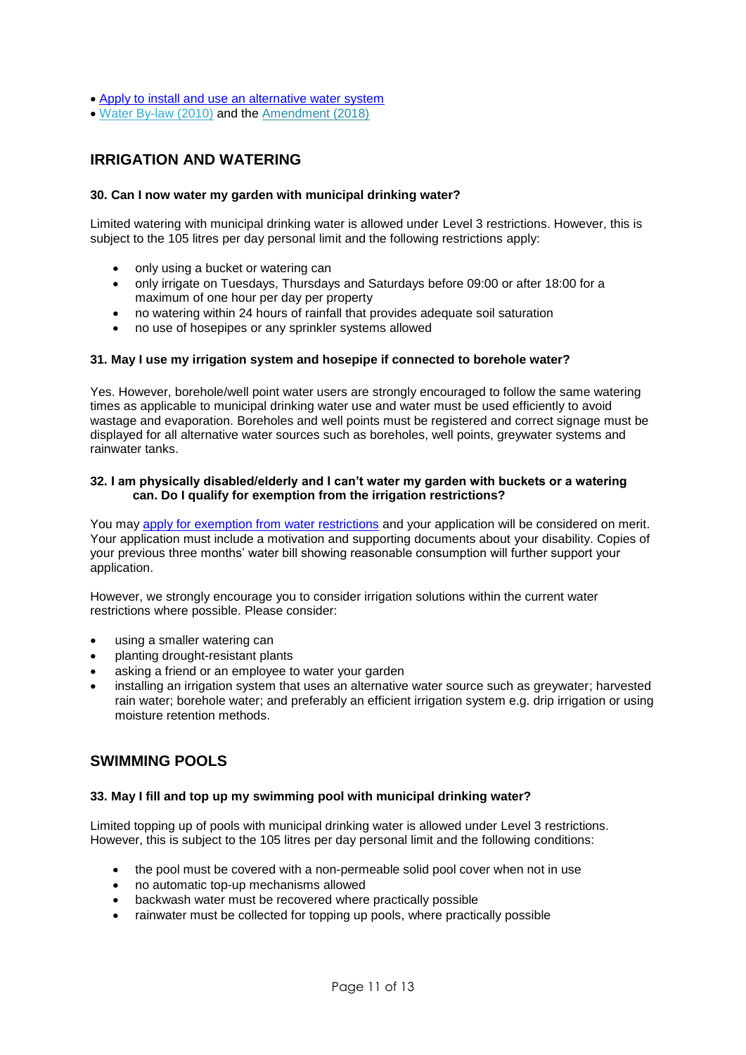- [Apply to install and use an alternative water system](http://www.capetown.gov.za/City-Connect/Apply/Municipal-services/Water-and-sanitation/apply-to-install-and-use-an-alternative-water-system)
- <span id="page-10-0"></span>[Water By-law \(2010\)](http://resource.capetown.gov.za/documentcentre/Documents/Bylaws%20and%20policies/Water%20By-law%202010.pdf) and the [Amendment \(2018\)](http://resource.capetown.gov.za/documentcentre/Documents/Bylaws%20and%20policies/Water%20Amendment%20By-law%202018.pdf)

## **IRRIGATION AND WATERING**

#### <span id="page-10-1"></span>**30. Can I now water my garden with municipal drinking water?**

Limited watering with municipal drinking water is allowed under Level 3 restrictions. However, this is subject to the 105 litres per day personal limit and the following restrictions apply:

- only using a bucket or watering can
- only irrigate on Tuesdays, Thursdays and Saturdays before 09:00 or after 18:00 for a maximum of one hour per day per property
- no watering within 24 hours of rainfall that provides adequate soil saturation
- no use of hosepipes or any sprinkler systems allowed

#### <span id="page-10-2"></span>**31. May I use my irrigation system and hosepipe if connected to borehole water?**

Yes. However, borehole/well point water users are strongly encouraged to follow the same watering times as applicable to municipal drinking water use and water must be used efficiently to avoid wastage and evaporation. Boreholes and well points must be registered and correct signage must be displayed for all alternative water sources such as boreholes, well points, greywater systems and rainwater tanks.

#### <span id="page-10-3"></span>**32. I am physically disabled/elderly and I can't water my garden with buckets or a watering can. Do I qualify for exemption from the irrigation restrictions?**

You may [apply for exemption from water restrictions](http://www.capetown.gov.za/City-Connect/Apply/Municipal-services/Water-and-sanitation/Apply-for-exemption-from-water-restrictions) and your application will be considered on merit. Your application must include a motivation and supporting documents about your disability. Copies of your previous three months' water bill showing reasonable consumption will further support your application.

However, we strongly encourage you to consider irrigation solutions within the current water restrictions where possible. Please consider:

- using a smaller watering can
- planting drought-resistant plants
- asking a friend or an employee to water your garden
- installing an irrigation system that uses an alternative water source such as greywater; harvested rain water; borehole water; and preferably an efficient irrigation system e.g. drip irrigation or using moisture retention methods.

### <span id="page-10-4"></span>**SWIMMING POOLS**

#### <span id="page-10-5"></span>**33. May I fill and top up my swimming pool with municipal drinking water?**

Limited topping up of pools with municipal drinking water is allowed under Level 3 restrictions. However, this is subject to the 105 litres per day personal limit and the following conditions:

- the pool must be covered with a non-permeable solid pool cover when not in use
- no automatic top-up mechanisms allowed
- backwash water must be recovered where practically possible
- rainwater must be collected for topping up pools, where practically possible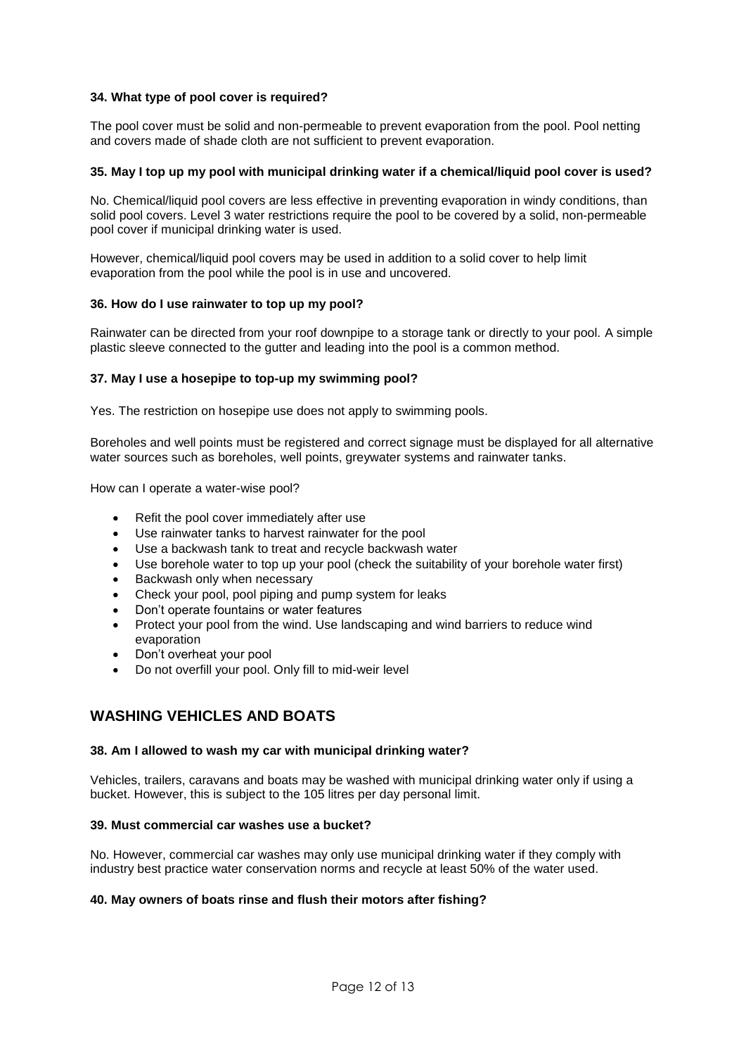#### <span id="page-11-0"></span>**34. What type of pool cover is required?**

The pool cover must be solid and non-permeable to prevent evaporation from the pool. Pool netting and covers made of shade cloth are not sufficient to prevent evaporation.

#### <span id="page-11-1"></span>**35. May I top up my pool with municipal drinking water if a chemical/liquid pool cover is used?**

No. Chemical/liquid pool covers are less effective in preventing evaporation in windy conditions, than solid pool covers. Level 3 water restrictions require the pool to be covered by a solid, non-permeable pool cover if municipal drinking water is used.

However, chemical/liquid pool covers may be used in addition to a solid cover to help limit evaporation from the pool while the pool is in use and uncovered.

#### <span id="page-11-2"></span>**36. How do I use rainwater to top up my pool?**

Rainwater can be directed from your roof downpipe to a storage tank or directly to your pool. A simple plastic sleeve connected to the gutter and leading into the pool is a common method.

#### <span id="page-11-3"></span>**37. May I use a hosepipe to top-up my swimming pool?**

Yes. The restriction on hosepipe use does not apply to swimming pools.

Boreholes and well points must be registered and correct signage must be displayed for all alternative water sources such as boreholes, well points, greywater systems and rainwater tanks.

<span id="page-11-4"></span>How can I operate a water-wise pool?

- Refit the pool cover immediately after use
- Use rainwater tanks to harvest rainwater for the pool
- Use a backwash tank to treat and recycle backwash water
- Use borehole water to top up your pool (check the suitability of your borehole water first)
- Backwash only when necessary
- Check your pool, pool piping and pump system for leaks
- Don't operate fountains or water features
- Protect your pool from the wind. Use landscaping and wind barriers to reduce wind evaporation
- Don't overheat your pool
- <span id="page-11-5"></span>Do not overfill your pool. Only fill to mid-weir level

## **WASHING VEHICLES AND BOATS**

#### <span id="page-11-6"></span>**38. Am I allowed to wash my car with municipal drinking water?**

Vehicles, trailers, caravans and boats may be washed with municipal drinking water only if using a bucket. However, this is subject to the 105 litres per day personal limit.

#### <span id="page-11-7"></span>**39. Must commercial car washes use a bucket?**

No. However, commercial car washes may only use municipal drinking water if they comply with industry best practice water conservation norms and recycle at least 50% of the water used.

#### <span id="page-11-8"></span>**40. May owners of boats rinse and flush their motors after fishing?**